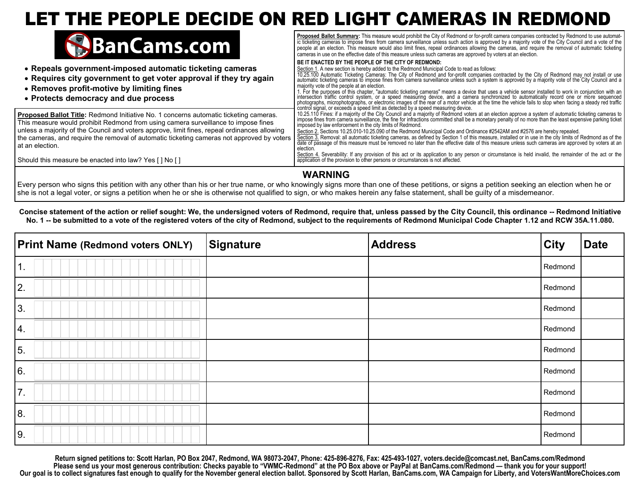## LET THE PEOPLE DECIDE ON RED LIGHT CAMERAS IN REDMOND



## **WARNING**

Every person who signs this petition with any other than his or her true name, or who knowingly signs more than one of these petitions, or signs a petition seeking an election when he or she is not a legal voter, or signs a petition when he or she is otherwise not qualified to sign, or who makes herein any false statement, shall be guilty of a misdemeanor.

**Concise statement of the action or relief sought: We, the undersigned voters of Redmond, require that, unless passed by the City Council, this ordinance -- Redmond Initiative No. 1 -- be submitted to a vote of the registered voters of the city of Redmond, subject to the requirements of Redmond Municipal Code Chapter 1.12 and RCW 35A.11.080.** 

| <b>Print Name (Redmond voters ONLY)</b> | Signature | <b>Address</b> | <b>City</b> | <b>Date</b> |
|-----------------------------------------|-----------|----------------|-------------|-------------|
| $\overline{1}$ .                        |           |                | Redmond     |             |
| 2.                                      |           |                | Redmond     |             |
| 3.                                      |           |                | Redmond     |             |
| 4.                                      |           |                | Redmond     |             |
| 5.                                      |           |                | Redmond     |             |
| 6.                                      |           |                | Redmond     |             |
| 7.                                      |           |                | Redmond     |             |
| 8.                                      |           |                | Redmond     |             |
| 9.                                      |           |                | Redmond     |             |

**Return signed petitions to: Scott Harlan, PO Box 2047, Redmond, WA 98073-2047, Phone: 425-896-8276, Fax: 425-493-1027, voters.decide@comcast.net, BanCams.com/Redmond Please send us your most generous contribution: Checks payable to "VWMC-Redmond" at the PO Box above or PayPal at BanCams.com/Redmond — thank you for your support! Our goal is to collect signatures fast enough to qualify for the November general election ballot. Sponsored by Scott Harlan, BanCams.com, WA Campaign for Liberty, and VotersWantMoreChoices.com**